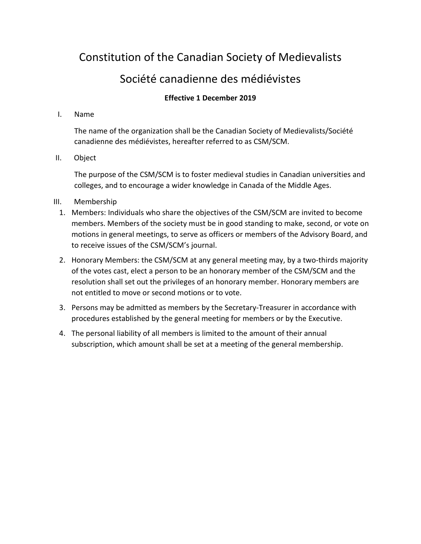# Constitution of the Canadian Society of Medievalists

## Société canadienne des médiévistes

### **Effective 1 December 2019**

#### I. Name

The name of the organization shall be the Canadian Society of Medievalists/Société canadienne des médiévistes, hereafter referred to as CSM/SCM.

#### II. Object

The purpose of the CSM/SCM is to foster medieval studies in Canadian universities and colleges, and to encourage a wider knowledge in Canada of the Middle Ages.

#### III. Membership

- 1. Members: Individuals who share the objectives of the CSM/SCM are invited to become members. Members of the society must be in good standing to make, second, or vote on motions in general meetings, to serve as officers or members of the Advisory Board, and to receive issues of the CSM/SCM's journal.
- 2. Honorary Members: the CSM/SCM at any general meeting may, by a two-thirds majority of the votes cast, elect a person to be an honorary member of the CSM/SCM and the resolution shall set out the privileges of an honorary member. Honorary members are not entitled to move or second motions or to vote.
- 3. Persons may be admitted as members by the Secretary-Treasurer in accordance with procedures established by the general meeting for members or by the Executive.
- 4. The personal liability of all members is limited to the amount of their annual subscription, which amount shall be set at a meeting of the general membership.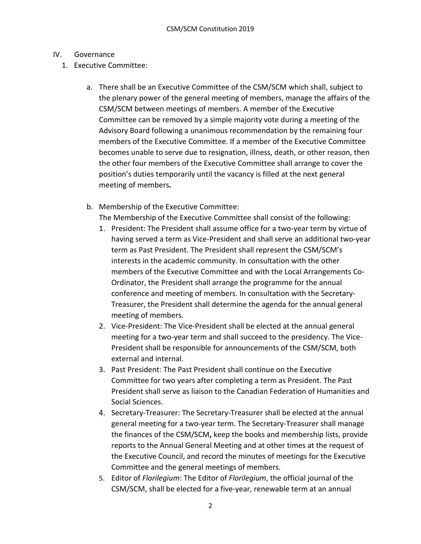#### IV. Governance

- 1. Executive Committee:
	- a. There shall be an Executive Committee of the CSM/SCM which shall, subject to the plenary power of the general meeting of members, manage the affairs of the CSM/SCM between meetings of members. A member of the Executive Committee can be removed by a simple majority vote during a meeting of the Advisory Board following a unanimous recommendation by the remaining four members of the Executive Committee. If a member of the Executive Committee becomes unable to serve due to resignation, illness, death, or other reason, then the other four members of the Executive Committee shall arrange to cover the position's duties temporarily until the vacancy is filled at the next general meeting of members**.**
	- b. Membership of the Executive Committee:

The Membership of the Executive Committee shall consist of the following:

- 1. President: The President shall assume office for a two-year term by virtue of having served a term as Vice-President and shall serve an additional two-year term as Past President. The President shall represent the CSM/SCM's interests in the academic community. In consultation with the other members of the Executive Committee and with the Local Arrangements Co-Ordinator, the President shall arrange the programme for the annual conference and meeting of members. In consultation with the Secretary-Treasurer, the President shall determine the agenda for the annual general meeting of members.
- 2. Vice-President: The Vice-President shall be elected at the annual general meeting for a two-year term and shall succeed to the presidency. The Vice-President shall be responsible for announcements of the CSM/SCM, both external and internal.
- 3. Past President: The Past President shall continue on the Executive Committee for two years after completing a term as President. The Past President shall serve as liaison to the Canadian Federation of Humanities and Social Sciences.
- 4. Secretary-Treasurer: The Secretary-Treasurer shall be elected at the annual general meeting for a two-year term. The Secretary-Treasurer shall manage the finances of the CSM/SCM**,** keep the books and membership lists, provide reports to the Annual General Meeting and at other times at the request of the Executive Council, and record the minutes of meetings for the Executive Committee and the general meetings of members.
- 5. Editor of *Florilegium*: The Editor of *Florilegium*, the official journal of the CSM/SCM, shall be elected for a five-year, renewable term at an annual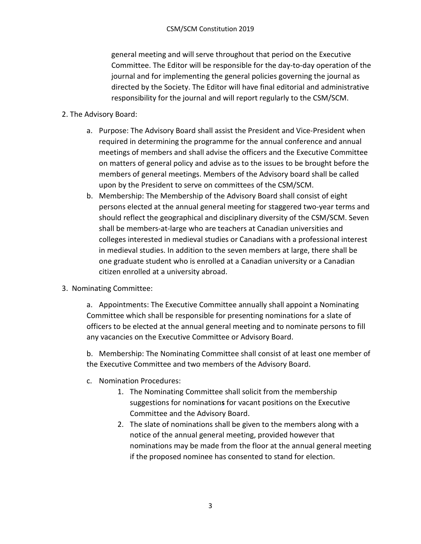general meeting and will serve throughout that period on the Executive Committee. The Editor will be responsible for the day-to-day operation of the journal and for implementing the general policies governing the journal as directed by the Society. The Editor will have final editorial and administrative responsibility for the journal and will report regularly to the CSM/SCM.

#### 2. The Advisory Board:

- a. Purpose: The Advisory Board shall assist the President and Vice-President when required in determining the programme for the annual conference and annual meetings of members and shall advise the officers and the Executive Committee on matters of general policy and advise as to the issues to be brought before the members of general meetings. Members of the Advisory board shall be called upon by the President to serve on committees of the CSM/SCM.
- b. Membership: The Membership of the Advisory Board shall consist of eight persons elected at the annual general meeting for staggered two-year terms and should reflect the geographical and disciplinary diversity of the CSM/SCM. Seven shall be members-at-large who are teachers at Canadian universities and colleges interested in medieval studies or Canadians with a professional interest in medieval studies. In addition to the seven members at large, there shall be one graduate student who is enrolled at a Canadian university or a Canadian citizen enrolled at a university abroad.
- 3. Nominating Committee:

a. Appointments: The Executive Committee annually shall appoint a Nominating Committee which shall be responsible for presenting nominations for a slate of officers to be elected at the annual general meeting and to nominate persons to fill any vacancies on the Executive Committee or Advisory Board.

b. Membership: The Nominating Committee shall consist of at least one member of the Executive Committee and two members of the Advisory Board.

- c. Nomination Procedures:
	- 1. The Nominating Committee shall solicit from the membership suggestions for nomination**s** for vacant positions on the Executive Committee and the Advisory Board.
	- 2. The slate of nominations shall be given to the members along with a notice of the annual general meeting, provided however that nominations may be made from the floor at the annual general meeting if the proposed nominee has consented to stand for election.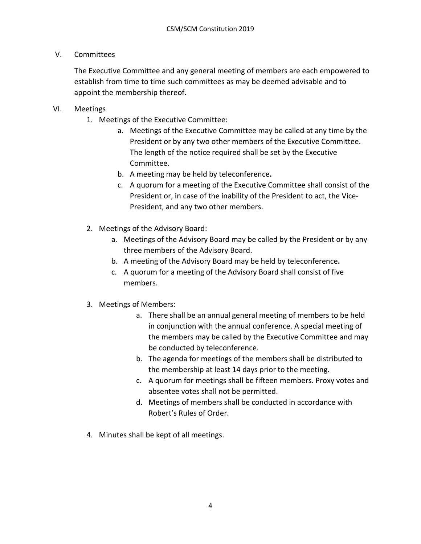#### V. Committees

The Executive Committee and any general meeting of members are each empowered to establish from time to time such committees as may be deemed advisable and to appoint the membership thereof.

#### VI. Meetings

- 1. Meetings of the Executive Committee:
	- a. Meetings of the Executive Committee may be called at any time by the President or by any two other members of the Executive Committee. The length of the notice required shall be set by the Executive Committee.
	- b. A meeting may be held by teleconference**.**
	- c. A quorum for a meeting of the Executive Committee shall consist of the President or, in case of the inability of the President to act, the Vice-President, and any two other members.
- 2. Meetings of the Advisory Board:
	- a. Meetings of the Advisory Board may be called by the President or by any three members of the Advisory Board.
	- b. A meeting of the Advisory Board may be held by teleconference**.**
	- c. A quorum for a meeting of the Advisory Board shall consist of five members.
- 3. Meetings of Members:
	- a. There shall be an annual general meeting of members to be held in conjunction with the annual conference. A special meeting of the members may be called by the Executive Committee and may be conducted by teleconference.
	- b. The agenda for meetings of the members shall be distributed to the membership at least 14 days prior to the meeting.
	- c. A quorum for meetings shall be fifteen members. Proxy votes and absentee votes shall not be permitted.
	- d. Meetings of members shall be conducted in accordance with Robert's Rules of Order.
- 4. Minutes shall be kept of all meetings.